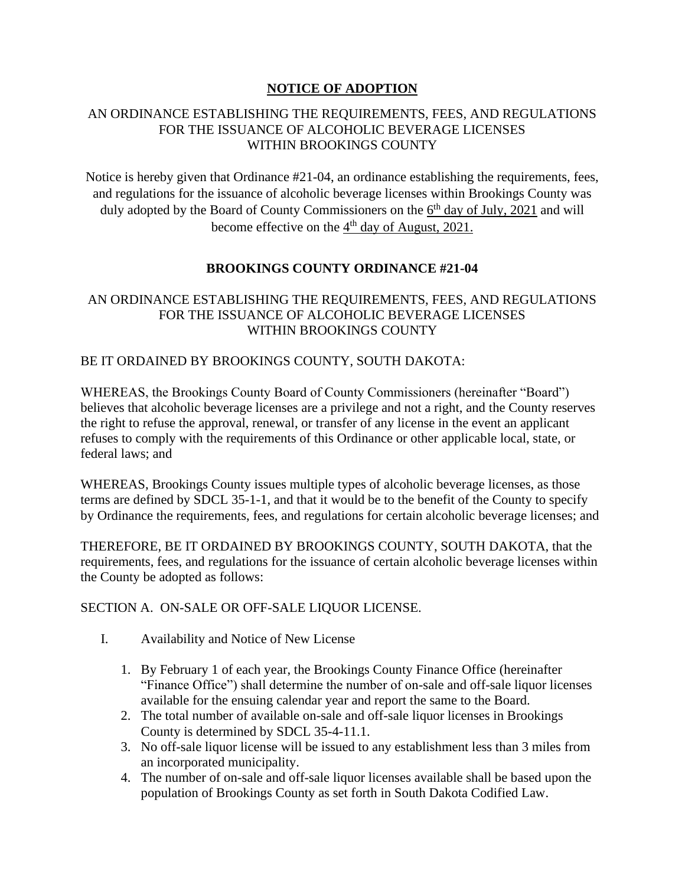# **NOTICE OF ADOPTION**

## AN ORDINANCE ESTABLISHING THE REQUIREMENTS, FEES, AND REGULATIONS FOR THE ISSUANCE OF ALCOHOLIC BEVERAGE LICENSES WITHIN BROOKINGS COUNTY

Notice is hereby given that Ordinance #21-04, an ordinance establishing the requirements, fees, and regulations for the issuance of alcoholic beverage licenses within Brookings County was duly adopted by the Board of County Commissioners on the  $6<sup>th</sup>$  day of July, 2021 and will become effective on the  $4<sup>th</sup>$  day of August, 2021.

# **BROOKINGS COUNTY ORDINANCE #21-04**

# AN ORDINANCE ESTABLISHING THE REQUIREMENTS, FEES, AND REGULATIONS FOR THE ISSUANCE OF ALCOHOLIC BEVERAGE LICENSES WITHIN BROOKINGS COUNTY

## BE IT ORDAINED BY BROOKINGS COUNTY, SOUTH DAKOTA:

WHEREAS, the Brookings County Board of County Commissioners (hereinafter "Board") believes that alcoholic beverage licenses are a privilege and not a right, and the County reserves the right to refuse the approval, renewal, or transfer of any license in the event an applicant refuses to comply with the requirements of this Ordinance or other applicable local, state, or federal laws; and

WHEREAS, Brookings County issues multiple types of alcoholic beverage licenses, as those terms are defined by SDCL 35-1-1, and that it would be to the benefit of the County to specify by Ordinance the requirements, fees, and regulations for certain alcoholic beverage licenses; and

THEREFORE, BE IT ORDAINED BY BROOKINGS COUNTY, SOUTH DAKOTA, that the requirements, fees, and regulations for the issuance of certain alcoholic beverage licenses within the County be adopted as follows:

#### SECTION A. ON-SALE OR OFF-SALE LIQUOR LICENSE.

- I. Availability and Notice of New License
	- 1. By February 1 of each year, the Brookings County Finance Office (hereinafter "Finance Office") shall determine the number of on-sale and off-sale liquor licenses available for the ensuing calendar year and report the same to the Board.
	- 2. The total number of available on-sale and off-sale liquor licenses in Brookings County is determined by SDCL 35-4-11.1.
	- 3. No off-sale liquor license will be issued to any establishment less than 3 miles from an incorporated municipality.
	- 4. The number of on-sale and off-sale liquor licenses available shall be based upon the population of Brookings County as set forth in South Dakota Codified Law.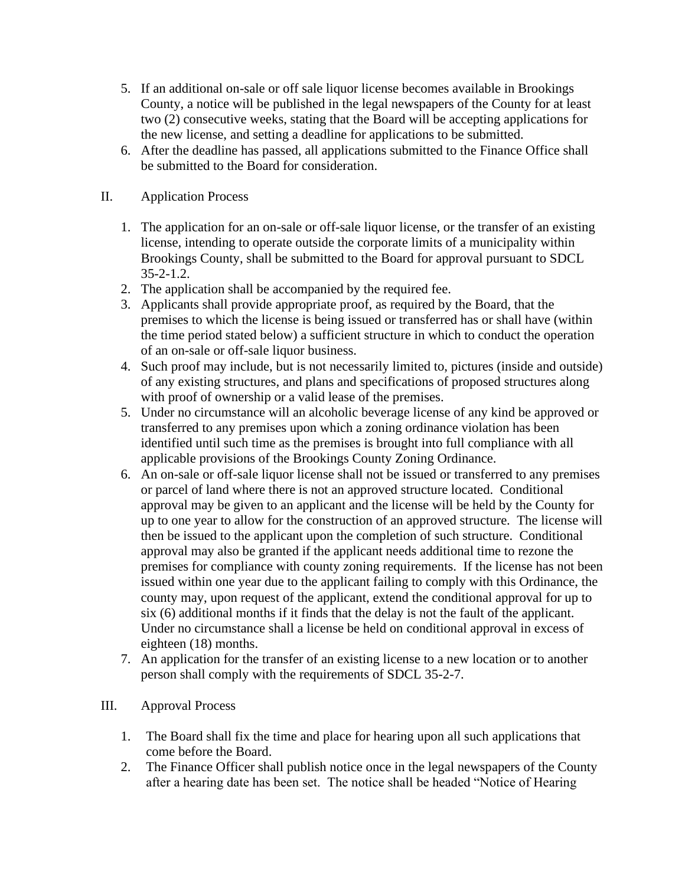- 5. If an additional on-sale or off sale liquor license becomes available in Brookings County, a notice will be published in the legal newspapers of the County for at least two (2) consecutive weeks, stating that the Board will be accepting applications for the new license, and setting a deadline for applications to be submitted.
- 6. After the deadline has passed, all applications submitted to the Finance Office shall be submitted to the Board for consideration.

# II. Application Process

- 1. The application for an on-sale or off-sale liquor license, or the transfer of an existing license, intending to operate outside the corporate limits of a municipality within Brookings County, shall be submitted to the Board for approval pursuant to SDCL 35-2-1.2.
- 2. The application shall be accompanied by the required fee.
- 3. Applicants shall provide appropriate proof, as required by the Board, that the premises to which the license is being issued or transferred has or shall have (within the time period stated below) a sufficient structure in which to conduct the operation of an on-sale or off-sale liquor business.
- 4. Such proof may include, but is not necessarily limited to, pictures (inside and outside) of any existing structures, and plans and specifications of proposed structures along with proof of ownership or a valid lease of the premises.
- 5. Under no circumstance will an alcoholic beverage license of any kind be approved or transferred to any premises upon which a zoning ordinance violation has been identified until such time as the premises is brought into full compliance with all applicable provisions of the Brookings County Zoning Ordinance.
- 6. An on-sale or off-sale liquor license shall not be issued or transferred to any premises or parcel of land where there is not an approved structure located. Conditional approval may be given to an applicant and the license will be held by the County for up to one year to allow for the construction of an approved structure. The license will then be issued to the applicant upon the completion of such structure. Conditional approval may also be granted if the applicant needs additional time to rezone the premises for compliance with county zoning requirements. If the license has not been issued within one year due to the applicant failing to comply with this Ordinance, the county may, upon request of the applicant, extend the conditional approval for up to six (6) additional months if it finds that the delay is not the fault of the applicant. Under no circumstance shall a license be held on conditional approval in excess of eighteen (18) months.
- 7. An application for the transfer of an existing license to a new location or to another person shall comply with the requirements of SDCL 35-2-7.
- III. Approval Process
	- 1. The Board shall fix the time and place for hearing upon all such applications that come before the Board.
	- 2. The Finance Officer shall publish notice once in the legal newspapers of the County after a hearing date has been set. The notice shall be headed "Notice of Hearing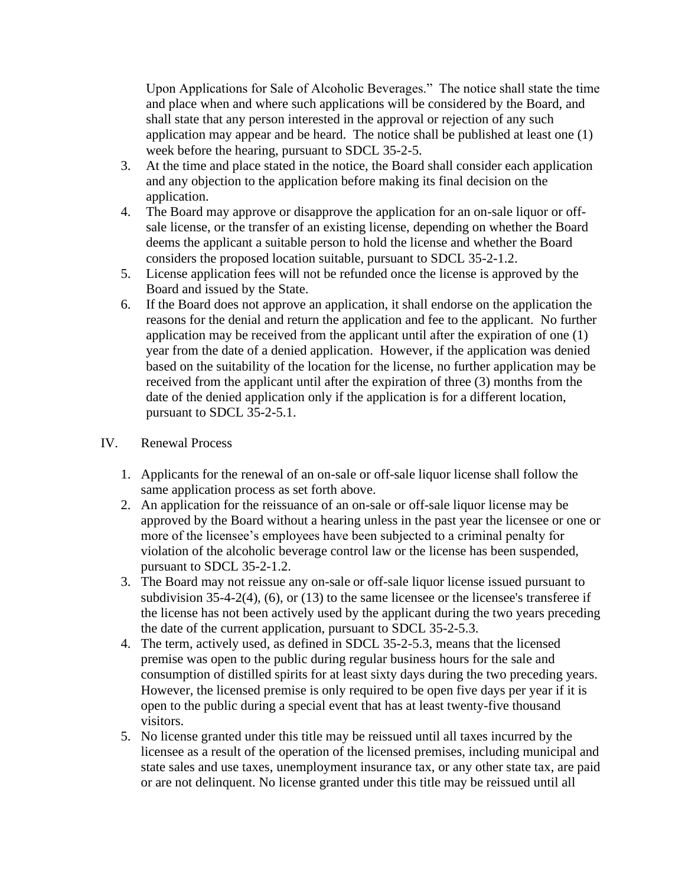Upon Applications for Sale of Alcoholic Beverages." The notice shall state the time and place when and where such applications will be considered by the Board, and shall state that any person interested in the approval or rejection of any such application may appear and be heard. The notice shall be published at least one (1) week before the hearing, pursuant to SDCL 35-2-5.

- 3. At the time and place stated in the notice, the Board shall consider each application and any objection to the application before making its final decision on the application.
- 4. The Board may approve or disapprove the application for an on-sale liquor or offsale license, or the transfer of an existing license, depending on whether the Board deems the applicant a suitable person to hold the license and whether the Board considers the proposed location suitable, pursuant to SDCL 35-2-1.2.
- 5. License application fees will not be refunded once the license is approved by the Board and issued by the State.
- 6. If the Board does not approve an application, it shall endorse on the application the reasons for the denial and return the application and fee to the applicant. No further application may be received from the applicant until after the expiration of one (1) year from the date of a denied application. However, if the application was denied based on the suitability of the location for the license, no further application may be received from the applicant until after the expiration of three (3) months from the date of the denied application only if the application is for a different location, pursuant to SDCL 35-2-5.1.

#### IV. Renewal Process

- 1. Applicants for the renewal of an on-sale or off-sale liquor license shall follow the same application process as set forth above.
- 2. An application for the reissuance of an on-sale or off-sale liquor license may be approved by the Board without a hearing unless in the past year the licensee or one or more of the licensee's employees have been subjected to a criminal penalty for violation of the alcoholic beverage control law or the license has been suspended, pursuant to SDCL 35-2-1.2.
- 3. The Board may not reissue any on-sale or off-sale liquor license issued pursuant to subdivision  $35-4-2(4)$ ,  $(6)$ , or  $(13)$  to the same licensee or the licensee's transferee if the license has not been actively used by the applicant during the two years preceding the date of the current application, pursuant to SDCL 35-2-5.3.
- 4. The term, actively used, as defined in SDCL 35-2-5.3, means that the licensed premise was open to the public during regular business hours for the sale and consumption of distilled spirits for at least sixty days during the two preceding years. However, the licensed premise is only required to be open five days per year if it is open to the public during a special event that has at least twenty-five thousand visitors.
- 5. No license granted under this title may be reissued until all taxes incurred by the licensee as a result of the operation of the licensed premises, including municipal and state sales and use taxes, unemployment insurance tax, or any other state tax, are paid or are not delinquent. No license granted under this title may be reissued until all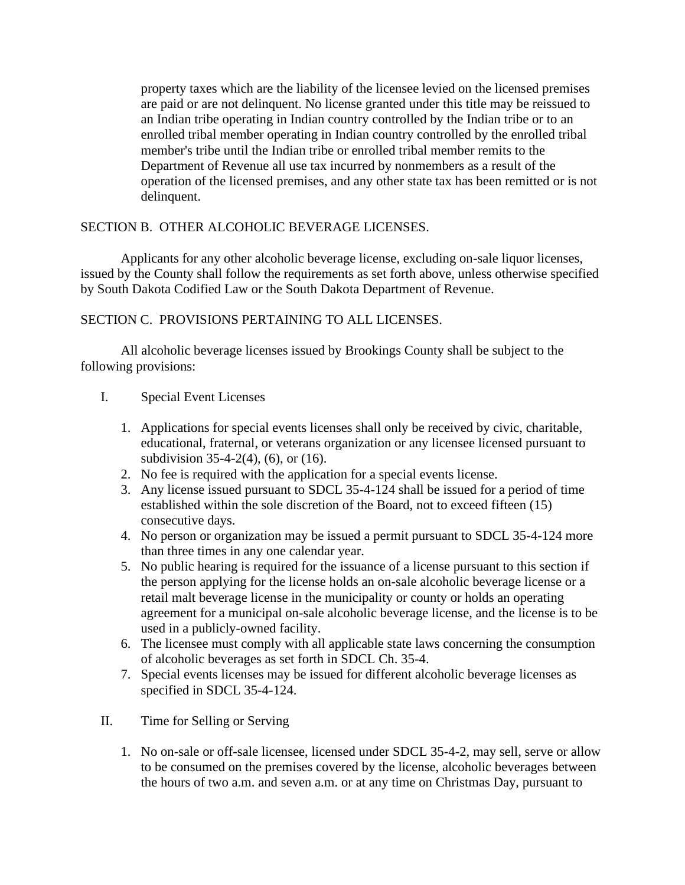property taxes which are the liability of the licensee levied on the licensed premises are paid or are not delinquent. No license granted under this title may be reissued to an Indian tribe operating in Indian country controlled by the Indian tribe or to an enrolled tribal member operating in Indian country controlled by the enrolled tribal member's tribe until the Indian tribe or enrolled tribal member remits to the Department of Revenue all use tax incurred by nonmembers as a result of the operation of the licensed premises, and any other state tax has been remitted or is not delinquent.

## SECTION B. OTHER ALCOHOLIC BEVERAGE LICENSES.

Applicants for any other alcoholic beverage license, excluding on-sale liquor licenses, issued by the County shall follow the requirements as set forth above, unless otherwise specified by South Dakota Codified Law or the South Dakota Department of Revenue.

## SECTION C. PROVISIONS PERTAINING TO ALL LICENSES.

All alcoholic beverage licenses issued by Brookings County shall be subject to the following provisions:

## I. Special Event Licenses

- 1. Applications for special events licenses shall only be received by civic, charitable, educational, fraternal, or veterans organization or any licensee licensed pursuant to subdivision 35-4-2(4), (6), or (16).
- 2. No fee is required with the application for a special events license.
- 3. Any license issued pursuant to SDCL 35-4-124 shall be issued for a period of time established within the sole discretion of the Board, not to exceed fifteen (15) consecutive days.
- 4. No person or organization may be issued a permit pursuant to SDCL 35-4-124 more than three times in any one calendar year.
- 5. No public hearing is required for the issuance of a license pursuant to this section if the person applying for the license holds an on-sale alcoholic beverage license or a retail malt beverage license in the municipality or county or holds an operating agreement for a municipal on-sale alcoholic beverage license, and the license is to be used in a publicly-owned facility.
- 6. The licensee must comply with all applicable state laws concerning the consumption of alcoholic beverages as set forth in SDCL Ch. 35-4.
- 7. Special events licenses may be issued for different alcoholic beverage licenses as specified in SDCL 35-4-124.
- II. Time for Selling or Serving
	- 1. No on-sale or off-sale licensee, licensed under SDCL 35-4-2, may sell, serve or allow to be consumed on the premises covered by the license, alcoholic beverages between the hours of two a.m. and seven a.m. or at any time on Christmas Day, pursuant to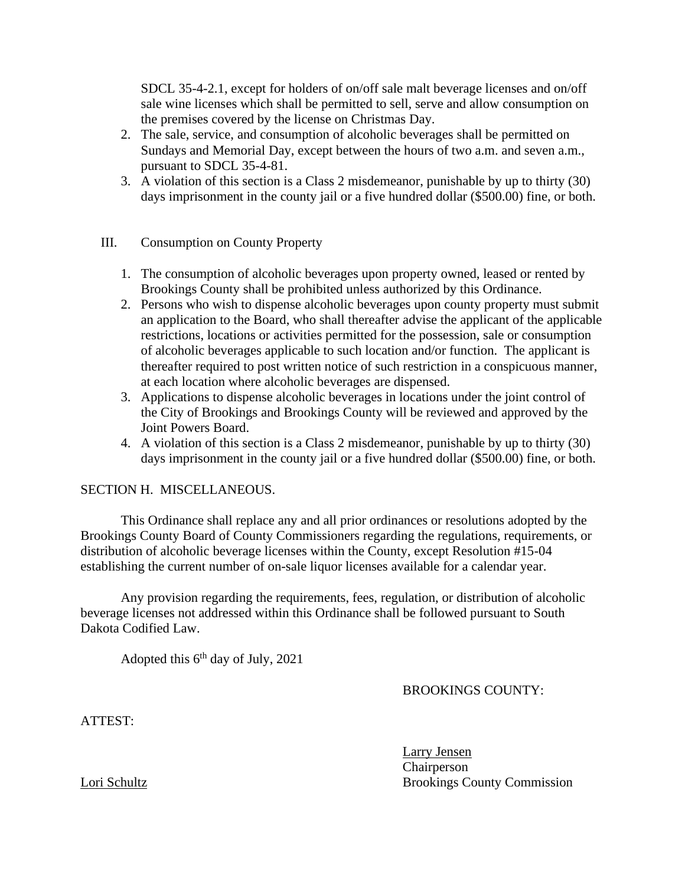SDCL 35-4-2.1, except for holders of on/off sale malt beverage licenses and on/off sale wine licenses which shall be permitted to sell, serve and allow consumption on the premises covered by the license on Christmas Day.

- 2. The sale, service, and consumption of alcoholic beverages shall be permitted on Sundays and Memorial Day, except between the hours of two a.m. and seven a.m., pursuant to SDCL 35-4-81.
- 3. A violation of this section is a Class 2 misdemeanor, punishable by up to thirty (30) days imprisonment in the county jail or a five hundred dollar (\$500.00) fine, or both.

## III. Consumption on County Property

- 1. The consumption of alcoholic beverages upon property owned, leased or rented by Brookings County shall be prohibited unless authorized by this Ordinance.
- 2. Persons who wish to dispense alcoholic beverages upon county property must submit an application to the Board, who shall thereafter advise the applicant of the applicable restrictions, locations or activities permitted for the possession, sale or consumption of alcoholic beverages applicable to such location and/or function. The applicant is thereafter required to post written notice of such restriction in a conspicuous manner, at each location where alcoholic beverages are dispensed.
- 3. Applications to dispense alcoholic beverages in locations under the joint control of the City of Brookings and Brookings County will be reviewed and approved by the Joint Powers Board.
- 4. A violation of this section is a Class 2 misdemeanor, punishable by up to thirty (30) days imprisonment in the county jail or a five hundred dollar (\$500.00) fine, or both.

#### SECTION H. MISCELLANEOUS.

This Ordinance shall replace any and all prior ordinances or resolutions adopted by the Brookings County Board of County Commissioners regarding the regulations, requirements, or distribution of alcoholic beverage licenses within the County, except Resolution #15-04 establishing the current number of on-sale liquor licenses available for a calendar year.

Any provision regarding the requirements, fees, regulation, or distribution of alcoholic beverage licenses not addressed within this Ordinance shall be followed pursuant to South Dakota Codified Law.

Adopted this  $6<sup>th</sup>$  day of July, 2021

#### BROOKINGS COUNTY:

ATTEST:

Larry Jensen Chairperson Lori Schultz Brookings County Commission